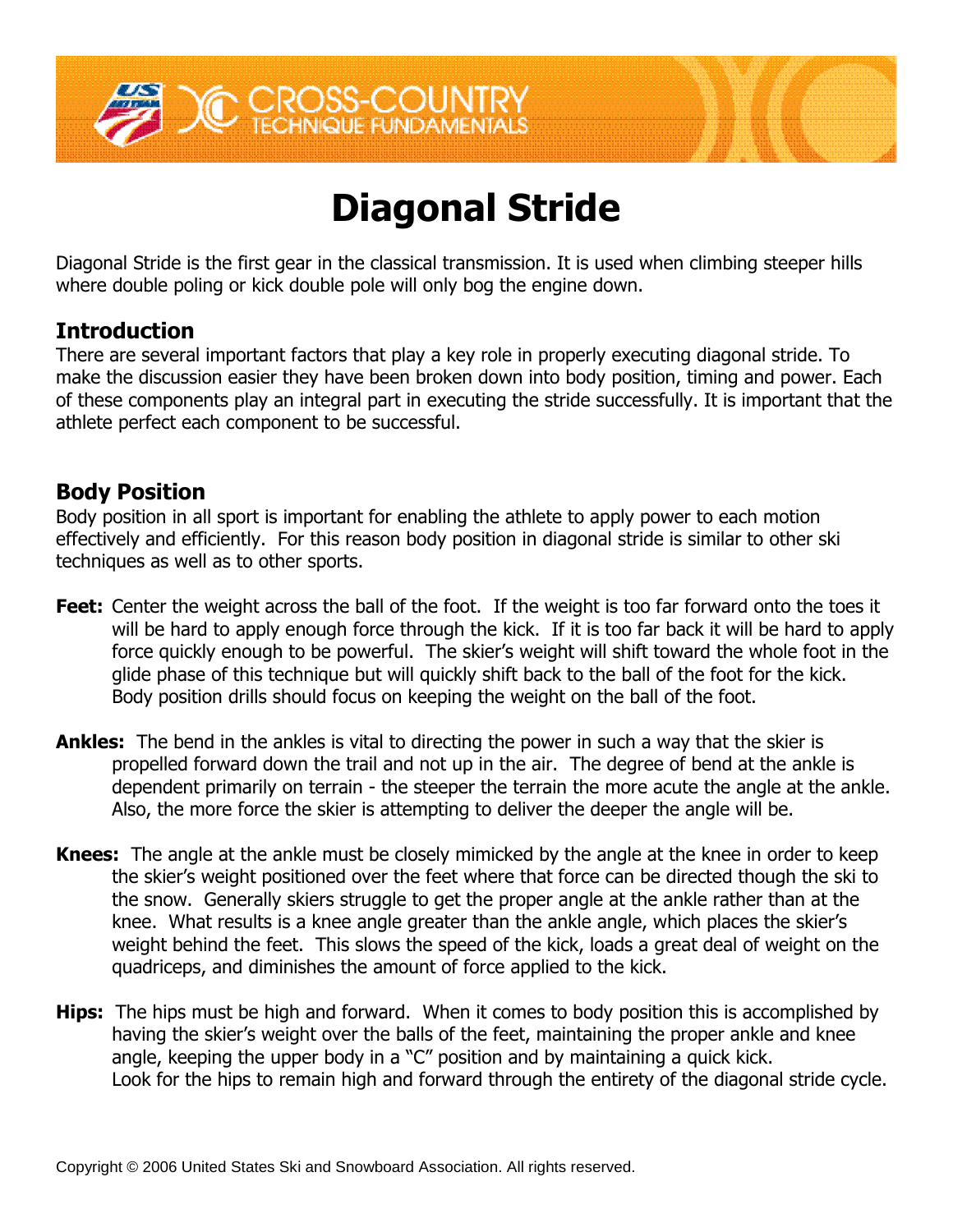

# **Diagonal Stride**

Diagonal Stride is the first gear in the classical transmission. It is used when climbing steeper hills where double poling or kick double pole will only bog the engine down.

## **Introduction**

There are several important factors that play a key role in properly executing diagonal stride. To make the discussion easier they have been broken down into body position, timing and power. Each of these components play an integral part in executing the stride successfully. It is important that the athlete perfect each component to be successful.

#### **Body Position**

Body position in all sport is important for enabling the athlete to apply power to each motion effectively and efficiently. For this reason body position in diagonal stride is similar to other ski techniques as well as to other sports.

- **Feet:** Center the weight across the ball of the foot. If the weight is too far forward onto the toes it will be hard to apply enough force through the kick. If it is too far back it will be hard to apply force quickly enough to be powerful. The skier's weight will shift toward the whole foot in the glide phase of this technique but will quickly shift back to the ball of the foot for the kick. Body position drills should focus on keeping the weight on the ball of the foot.
- **Ankles:** The bend in the ankles is vital to directing the power in such a way that the skier is propelled forward down the trail and not up in the air. The degree of bend at the ankle is dependent primarily on terrain - the steeper the terrain the more acute the angle at the ankle. Also, the more force the skier is attempting to deliver the deeper the angle will be.
- **Knees:** The angle at the ankle must be closely mimicked by the angle at the knee in order to keep the skier's weight positioned over the feet where that force can be directed though the ski to the snow. Generally skiers struggle to get the proper angle at the ankle rather than at the knee. What results is a knee angle greater than the ankle angle, which places the skier's weight behind the feet. This slows the speed of the kick, loads a great deal of weight on the quadriceps, and diminishes the amount of force applied to the kick.
- **Hips:** The hips must be high and forward. When it comes to body position this is accomplished by having the skier's weight over the balls of the feet, maintaining the proper ankle and knee angle, keeping the upper body in a "C" position and by maintaining a quick kick. Look for the hips to remain high and forward through the entirety of the diagonal stride cycle.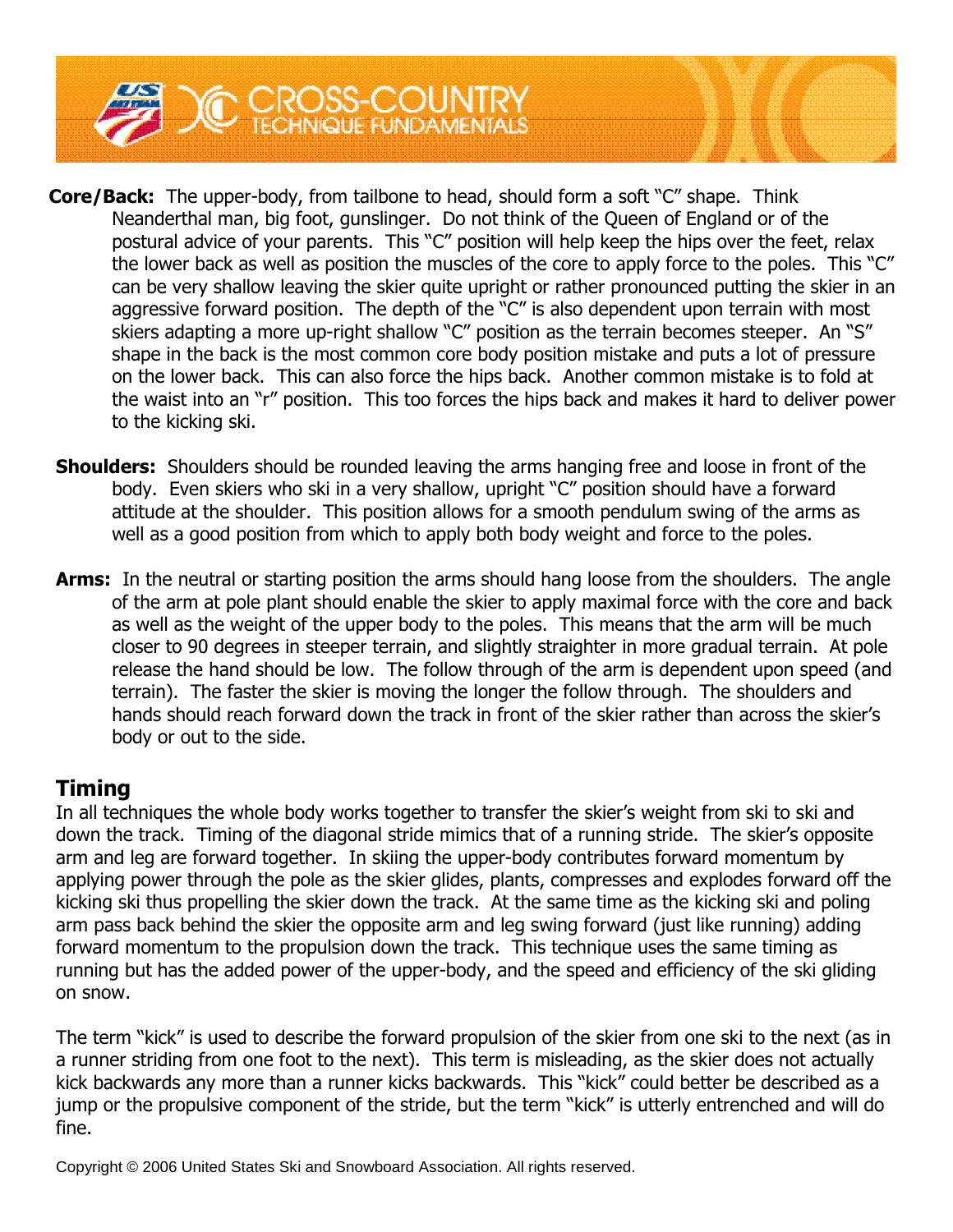

- **Core/Back:** The upper-body, from tailbone to head, should form a soft "C" shape. Think Neanderthal man, big foot, gunslinger. Do not think of the Queen of England or of the postural advice of your parents. This "C" position will help keep the hips over the feet, relax the lower back as well as position the muscles of the core to apply force to the poles. This " $C''$ can be very shallow leaving the skier quite upright or rather pronounced putting the skier in an aggressive forward position. The depth of the "C" is also dependent upon terrain with most skiers adapting a more up-right shallow "C" position as the terrain becomes steeper. An "S" shape in the back is the most common core body position mistake and puts a lot of pressure on the lower back. This can also force the hips back. Another common mistake is to fold at the waist into an "r" position. This too forces the hips back and makes it hard to deliver power to the kicking ski.
- **Shoulders:** Shoulders should be rounded leaving the arms hanging free and loose in front of the body. Even skiers who ski in a very shallow, upright "C" position should have a forward attitude at the shoulder. This position allows for a smooth pendulum swing of the arms as well as a good position from which to apply both body weight and force to the poles.
- **Arms:** In the neutral or starting position the arms should hang loose from the shoulders. The angle of the arm at pole plant should enable the skier to apply maximal force with the core and back as well as the weight of the upper body to the poles. This means that the arm will be much closer to 90 degrees in steeper terrain, and slightly straighter in more gradual terrain. At pole release the hand should be low. The follow through of the arm is dependent upon speed (and terrain). The faster the skier is moving the longer the follow through. The shoulders and hands should reach forward down the track in front of the skier rather than across the skier's body or out to the side.

# **Timing**

In all techniques the whole body works together to transfer the skier's weight from ski to ski and down the track. Timing of the diagonal stride mimics that of a running stride. The skier's opposite arm and leg are forward together. In skiing the upper-body contributes forward momentum by applying power through the pole as the skier glides, plants, compresses and explodes forward off the kicking ski thus propelling the skier down the track. At the same time as the kicking ski and poling arm pass back behind the skier the opposite arm and leg swing forward (just like running) adding forward momentum to the propulsion down the track. This technique uses the same timing as running but has the added power of the upper-body, and the speed and efficiency of the ski gliding on snow.

The term "kick" is used to describe the forward propulsion of the skier from one ski to the next (as in a runner striding from one foot to the next). This term is misleading, as the skier does not actually kick backwards any more than a runner kicks backwards. This "kick" could better be described as a jump or the propulsive component of the stride, but the term "kick" is utterly entrenched and will do fine.

Copyright © 2006 United States Ski and Snowboard Association. All rights reserved.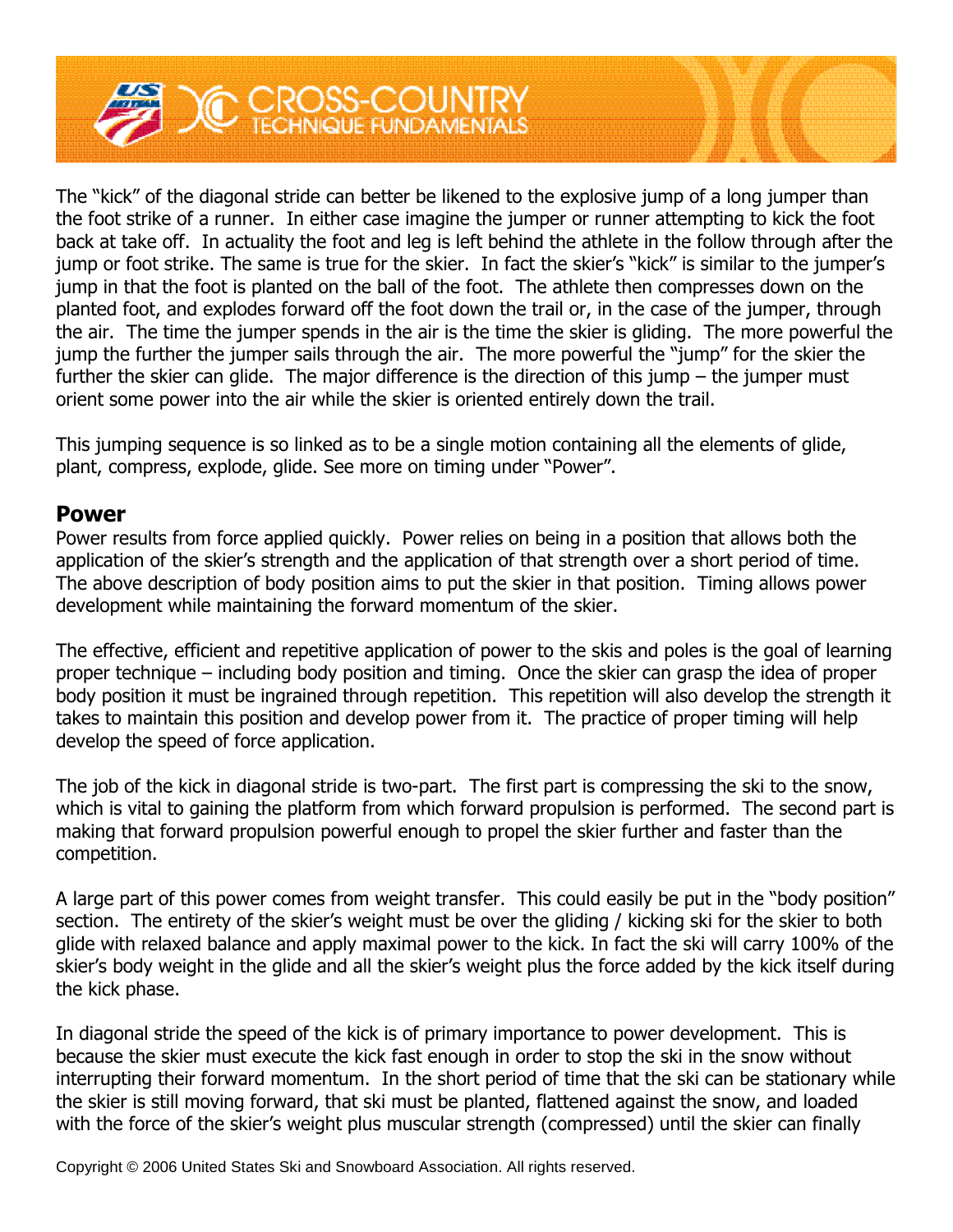

The "kick" of the diagonal stride can better be likened to the explosive jump of a long jumper than the foot strike of a runner. In either case imagine the jumper or runner attempting to kick the foot back at take off. In actuality the foot and leg is left behind the athlete in the follow through after the jump or foot strike. The same is true for the skier. In fact the skier's "kick" is similar to the jumper's jump in that the foot is planted on the ball of the foot. The athlete then compresses down on the planted foot, and explodes forward off the foot down the trail or, in the case of the jumper, through the air. The time the jumper spends in the air is the time the skier is gliding. The more powerful the jump the further the jumper sails through the air. The more powerful the "jump" for the skier the further the skier can glide. The major difference is the direction of this jump  $-$  the jumper must orient some power into the air while the skier is oriented entirely down the trail.

This jumping sequence is so linked as to be a single motion containing all the elements of glide, plant, compress, explode, glide. See more on timing under "Power".

#### **Power**

Power results from force applied quickly. Power relies on being in a position that allows both the application of the skier's strength and the application of that strength over a short period of time. The above description of body position aims to put the skier in that position. Timing allows power development while maintaining the forward momentum of the skier.

The effective, efficient and repetitive application of power to the skis and poles is the goal of learning proper technique – including body position and timing. Once the skier can grasp the idea of proper body position it must be ingrained through repetition. This repetition will also develop the strength it takes to maintain this position and develop power from it. The practice of proper timing will help develop the speed of force application.

The job of the kick in diagonal stride is two-part. The first part is compressing the ski to the snow, which is vital to gaining the platform from which forward propulsion is performed. The second part is making that forward propulsion powerful enough to propel the skier further and faster than the competition.

A large part of this power comes from weight transfer. This could easily be put in the "body position" section. The entirety of the skier's weight must be over the gliding / kicking ski for the skier to both glide with relaxed balance and apply maximal power to the kick. In fact the ski will carry 100% of the skier's body weight in the glide and all the skier's weight plus the force added by the kick itself during the kick phase.

In diagonal stride the speed of the kick is of primary importance to power development. This is because the skier must execute the kick fast enough in order to stop the ski in the snow without interrupting their forward momentum. In the short period of time that the ski can be stationary while the skier is still moving forward, that ski must be planted, flattened against the snow, and loaded with the force of the skier's weight plus muscular strength (compressed) until the skier can finally

Copyright © 2006 United States Ski and Snowboard Association. All rights reserved.